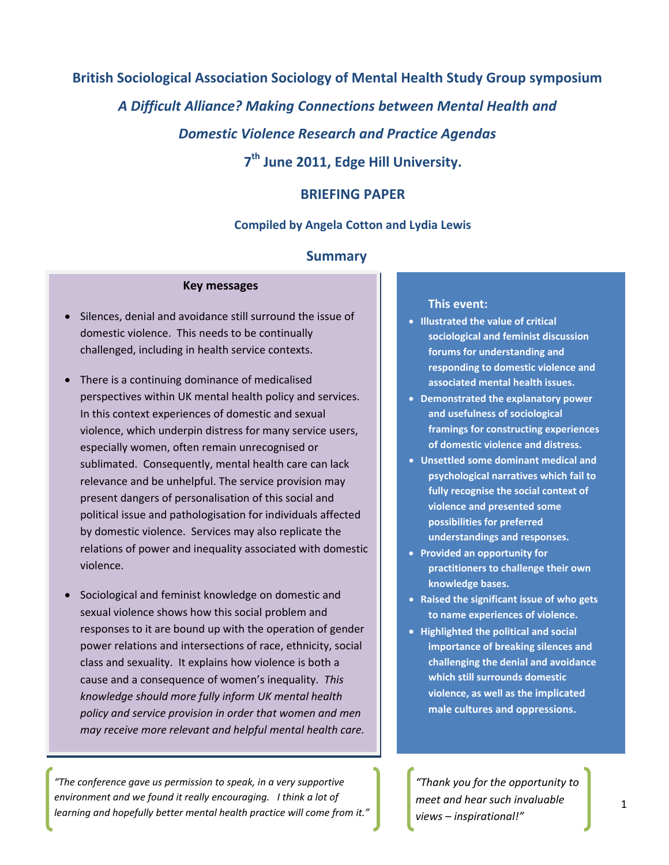# **British Sociological Association Sociology of Mental Health Study Group symposium**  *A Difficult Alliance? Making Connections between Mental Health and Domestic Violence Research and Practice Agendas* **7th June 2011, Edge Hill University.**

## **BRIEFING PAPER**

#### **Compiled by Angela Cotton and Lydia Lewis**

#### **Summary**

#### **Key messages**

- Silences, denial and avoidance still surround the issue of domestic violence. This needs to be continually challenged, including in health service contexts.
- There is a continuing dominance of medicalised perspectives within UK mental health policy and services. In this context experiences of domestic and sexual violence, which underpin distress for many service users, especially women, often remain unrecognised or sublimated. Consequently, mental health care can lack relevance and be unhelpful. The service provision may present dangers of personalisation of this social and political issue and pathologisation for individuals affected by domestic violence. Services may also replicate the relations of power and inequality associated with domestic violence.
- Sociological and feminist knowledge on domestic and sexual violence shows how this social problem and responses to it are bound up with the operation of gender power relations and intersections of race, ethnicity, social class and sexuality. It explains how violence is both a cause and a consequence of women's inequality. *This knowledge should more fully inform UK mental health policy and service provision in order that women and men may receive more relevant and helpful mental health care.*

*"The conference gave us permission to speak, in a very supportive environment and we found it really encouraging. I think a lot of learning and hopefully better mental health practice will come from it."*

#### **This event:**

- **Illustrated the value of critical sociological and feminist discussion forums for understanding and responding to domestic violence and associated mental health issues.**
- **Demonstrated the explanatory power and usefulness of sociological framings for constructing experiences of domestic violence and distress.**
- **Unsettled some dominant medical and psychological narratives which fail to fully recognise the social context of violence and presented some possibilities for preferred understandings and responses.**
- **Provided an opportunity for practitioners to challenge their own knowledge bases.**
- **Raised the significant issue of who gets to name experiences of violence.**
- **Highlighted the political and social importance of breaking silences and challenging the denial and avoidance which still surrounds domestic violence, as well as the implicated male cultures and oppressions.**

*"Thank you for the opportunity to meet and hear such invaluable views – inspirational!"*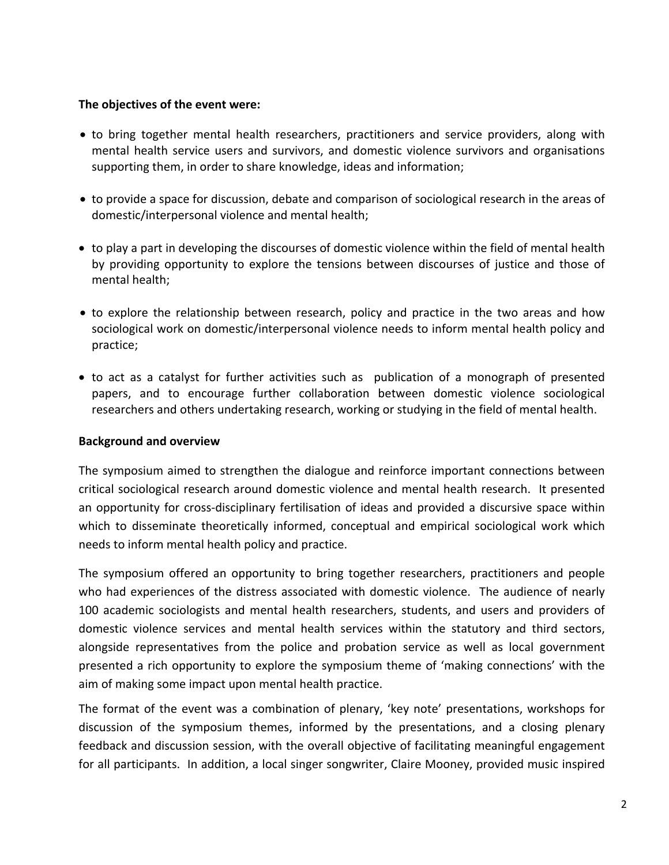### **The objectives of the event were:**

- to bring together mental health researchers, practitioners and service providers, along with mental health service users and survivors, and domestic violence survivors and organisations supporting them, in order to share knowledge, ideas and information;
- to provide a space for discussion, debate and comparison of sociological research in the areas of domestic/interpersonal violence and mental health;
- to play a part in developing the discourses of domestic violence within the field of mental health by providing opportunity to explore the tensions between discourses of justice and those of mental health;
- to explore the relationship between research, policy and practice in the two areas and how sociological work on domestic/interpersonal violence needs to inform mental health policy and practice;
- to act as a catalyst for further activities such as publication of a monograph of presented papers, and to encourage further collaboration between domestic violence sociological researchers and others undertaking research, working or studying in the field of mental health.

## **Background and overview**

The symposium aimed to strengthen the dialogue and reinforce important connections between critical sociological research around domestic violence and mental health research. It presented an opportunity for cross-disciplinary fertilisation of ideas and provided a discursive space within which to disseminate theoretically informed, conceptual and empirical sociological work which needs to inform mental health policy and practice.

The symposium offered an opportunity to bring together researchers, practitioners and people who had experiences of the distress associated with domestic violence. The audience of nearly 100 academic sociologists and mental health researchers, students, and users and providers of domestic violence services and mental health services within the statutory and third sectors, alongside representatives from the police and probation service as well as local government presented a rich opportunity to explore the symposium theme of 'making connections' with the aim of making some impact upon mental health practice.

The format of the event was a combination of plenary, 'key note' presentations, workshops for discussion of the symposium themes, informed by the presentations, and a closing plenary feedback and discussion session, with the overall objective of facilitating meaningful engagement for all participants. In addition, a local singer songwriter, Claire Mooney, provided music inspired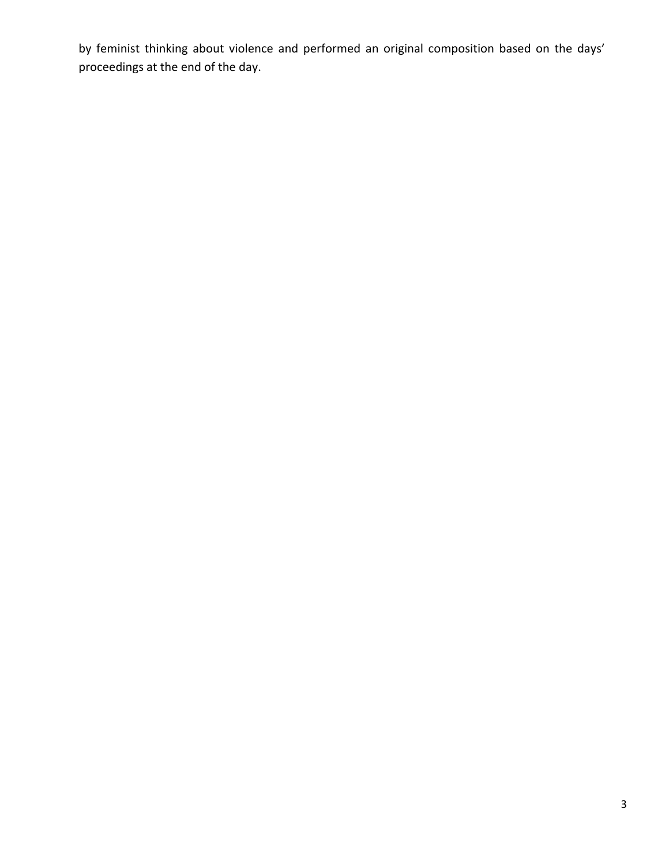by feminist thinking about violence and performed an original composition based on the days' proceedings at the end of the day.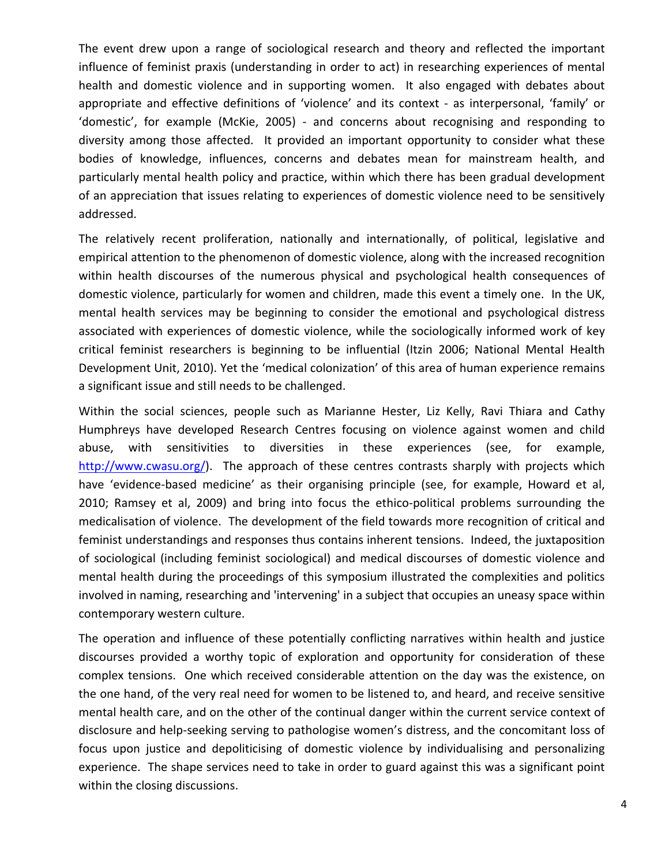The event drew upon a range of sociological research and theory and reflected the important influence of feminist praxis (understanding in order to act) in researching experiences of mental health and domestic violence and in supporting women. It also engaged with debates about appropriate and effective definitions of 'violence' and its context - as interpersonal, 'family' or 'domestic', for example (McKie, 2005) ‐ and concerns about recognising and responding to diversity among those affected. It provided an important opportunity to consider what these bodies of knowledge, influences, concerns and debates mean for mainstream health, and particularly mental health policy and practice, within which there has been gradual development of an appreciation that issues relating to experiences of domestic violence need to be sensitively addressed.

The relatively recent proliferation, nationally and internationally, of political, legislative and empirical attention to the phenomenon of domestic violence, along with the increased recognition within health discourses of the numerous physical and psychological health consequences of domestic violence, particularly for women and children, made this event a timely one. In the UK, mental health services may be beginning to consider the emotional and psychological distress associated with experiences of domestic violence, while the sociologically informed work of key critical feminist researchers is beginning to be influential (Itzin 2006; National Mental Health Development Unit, 2010). Yet the 'medical colonization' of this area of human experience remains a significant issue and still needs to be challenged.

Within the social sciences, people such as Marianne Hester, Liz Kelly, Ravi Thiara and Cathy Humphreys have developed Research Centres focusing on violence against women and child abuse, with sensitivities to diversities in these experiences (see, for example, <http://www.cwasu.org/>). The approach of these centres contrasts sharply with projects which have 'evidence-based medicine' as their organising principle (see, for example, Howard et al, 2010; Ramsey et al, 2009) and bring into focus the ethico-political problems surrounding the medicalisation of violence. The development of the field towards more recognition of critical and feminist understandings and responses thus contains inherent tensions. Indeed, the juxtaposition of sociological (including feminist sociological) and medical discourses of domestic violence and mental health during the proceedings of this symposium illustrated the complexities and politics involved in naming, researching and 'intervening' in a subject that occupies an uneasy space within contemporary western culture.

The operation and influence of these potentially conflicting narratives within health and justice discourses provided a worthy topic of exploration and opportunity for consideration of these complex tensions. One which received considerable attention on the day was the existence, on the one hand, of the very real need for women to be listened to, and heard, and receive sensitive mental health care, and on the other of the continual danger within the current service context of disclosure and help‐seeking serving to pathologise women's distress, and the concomitant loss of focus upon justice and depoliticising of domestic violence by individualising and personalizing experience. The shape services need to take in order to guard against this was a significant point within the closing discussions.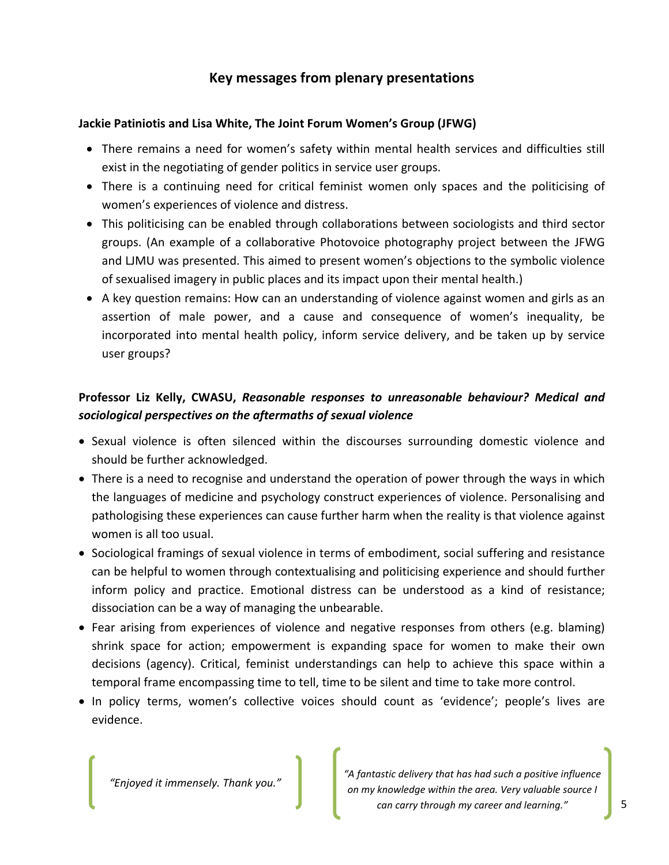# **Key messages from plenary presentations**

## **Jackie Patiniotis and Lisa White, The Joint Forum Women's Group (JFWG)**

- There remains a need for women's safety within mental health services and difficulties still exist in the negotiating of gender politics in service user groups.
- There is a continuing need for critical feminist women only spaces and the politicising of women's experiences of violence and distress.
- This politicising can be enabled through collaborations between sociologists and third sector groups. (An example of a collaborative Photovoice photography project between the JFWG and LJMU was presented. This aimed to present women's objections to the symbolic violence of sexualised imagery in public places and its impact upon their mental health.)
- A key question remains: How can an understanding of violence against women and girls as an assertion of male power, and a cause and consequence of women's inequality, be incorporated into mental health policy, inform service delivery, and be taken up by service user groups?

## **Professor Liz Kelly, CWASU,** *Reasonable responses to unreasonable behaviour? Medical and sociological perspectives on the aftermaths of sexual violence*

- Sexual violence is often silenced within the discourses surrounding domestic violence and should be further acknowledged.
- There is a need to recognise and understand the operation of power through the ways in which the languages of medicine and psychology construct experiences of violence. Personalising and pathologising these experiences can cause further harm when the reality is that violence against women is all too usual.
- Sociological framings of sexual violence in terms of embodiment, social suffering and resistance can be helpful to women through contextualising and politicising experience and should further inform policy and practice. Emotional distress can be understood as a kind of resistance; dissociation can be a way of managing the unbearable.
- Fear arising from experiences of violence and negative responses from others (e.g. blaming) shrink space for action; empowerment is expanding space for women to make their own decisions (agency). Critical, feminist understandings can help to achieve this space within a temporal frame encompassing time to tell, time to be silent and time to take more control.
- In policy terms, women's collective voices should count as 'evidence'; people's lives are evidence.

*"Enjoyed it immensely. Thank you."*

*"A fantastic delivery that has had such a positive influence on my knowledge within the area. Very valuable source I can carry through my career and learning."*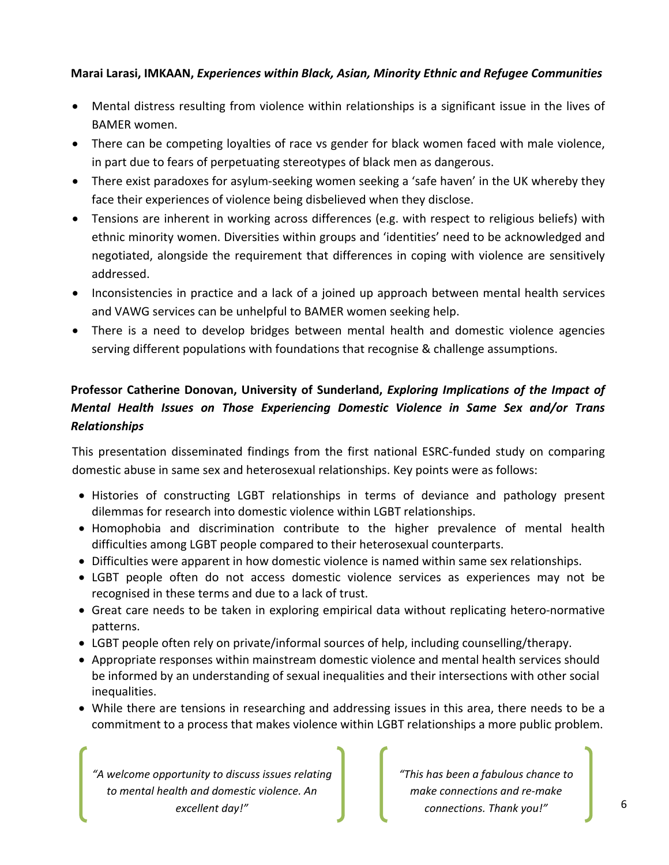## **Marai Larasi, IMKAAN,** *Experiences within Black, Asian, Minority Ethnic and Refugee Communities*

- Mental distress resulting from violence within relationships is a significant issue in the lives of BAMER women.
- There can be competing loyalties of race vs gender for black women faced with male violence, in part due to fears of perpetuating stereotypes of black men as dangerous.
- There exist paradoxes for asylum-seeking women seeking a 'safe haven' in the UK whereby they face their experiences of violence being disbelieved when they disclose.
- Tensions are inherent in working across differences (e.g. with respect to religious beliefs) with ethnic minority women. Diversities within groups and 'identities' need to be acknowledged and negotiated, alongside the requirement that differences in coping with violence are sensitively addressed.
- Inconsistencies in practice and a lack of a joined up approach between mental health services and VAWG services can be unhelpful to BAMER women seeking help.
- There is a need to develop bridges between mental health and domestic violence agencies serving different populations with foundations that recognise & challenge assumptions.

# **Professor Catherine Donovan, University of Sunderland,** *Exploring Implications of the Impact of Mental Health Issues on Those Experiencing Domestic Violence in Same Sex and/or Trans Relationships*

This presentation disseminated findings from the first national ESRC‐funded study on comparing domestic abuse in same sex and heterosexual relationships. Key points were as follows:

- Histories of constructing LGBT relationships in terms of deviance and pathology present dilemmas for research into domestic violence within LGBT relationships.
- Homophobia and discrimination contribute to the higher prevalence of mental health difficulties among LGBT people compared to their heterosexual counterparts.
- Difficulties were apparent in how domestic violence is named within same sex relationships.
- LGBT people often do not access domestic violence services as experiences may not be recognised in these terms and due to a lack of trust.
- Great care needs to be taken in exploring empirical data without replicating hetero-normative patterns.
- LGBT people often rely on private/informal sources of help, including counselling/therapy.
- Appropriate responses within mainstream domestic violence and mental health services should be informed by an understanding of sexual inequalities and their intersections with other social inequalities.
- While there are tensions in researching and addressing issues in this area, there needs to be a commitment to a process that makes violence within LGBT relationships a more public problem.

*"A welcome opportunity to discuss issues relating to mental health and domestic violence. An excellent day!"*

*"This has been a fabulous chance to make connections and re‐make connections. Thank you!"*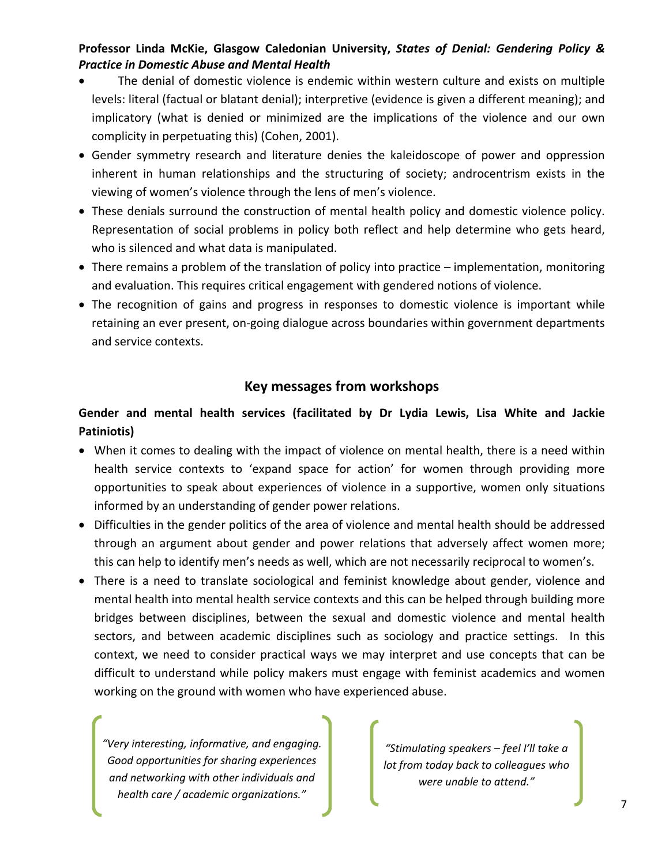## **Professor Linda McKie, Glasgow Caledonian University,** *States of Denial: Gendering Policy & Practice in Domestic Abuse and Mental Health*

- The denial of domestic violence is endemic within western culture and exists on multiple levels: literal (factual or blatant denial); interpretive (evidence is given a different meaning); and implicatory (what is denied or minimized are the implications of the violence and our own complicity in perpetuating this) (Cohen, 2001).
- Gender symmetry research and literature denies the kaleidoscope of power and oppression inherent in human relationships and the structuring of society; androcentrism exists in the viewing of women's violence through the lens of men's violence.
- These denials surround the construction of mental health policy and domestic violence policy. Representation of social problems in policy both reflect and help determine who gets heard, who is silenced and what data is manipulated.
- There remains a problem of the translation of policy into practice implementation, monitoring and evaluation. This requires critical engagement with gendered notions of violence.
- The recognition of gains and progress in responses to domestic violence is important while retaining an ever present, on‐going dialogue across boundaries within government departments and service contexts.

## **Key messages from workshops**

## **Gender and mental health services (facilitated by Dr Lydia Lewis, Lisa White and Jackie Patiniotis)**

- When it comes to dealing with the impact of violence on mental health, there is a need within health service contexts to 'expand space for action' for women through providing more opportunities to speak about experiences of violence in a supportive, women only situations informed by an understanding of gender power relations.
- Difficulties in the gender politics of the area of violence and mental health should be addressed through an argument about gender and power relations that adversely affect women more; this can help to identify men's needs as well, which are not necessarily reciprocal to women's.
- There is a need to translate sociological and feminist knowledge about gender, violence and mental health into mental health service contexts and this can be helped through building more bridges between disciplines, between the sexual and domestic violence and mental health sectors, and between academic disciplines such as sociology and practice settings. In this context, we need to consider practical ways we may interpret and use concepts that can be difficult to understand while policy makers must engage with feminist academics and women working on the ground with women who have experienced abuse.

*"Very interesting, informative, and engaging. Good opportunities for sharing experiences and networking with other individuals and health care / academic organizations."*

*"Stimulating speakers – feel I'll take a lot from today back to colleagues who were unable to attend."*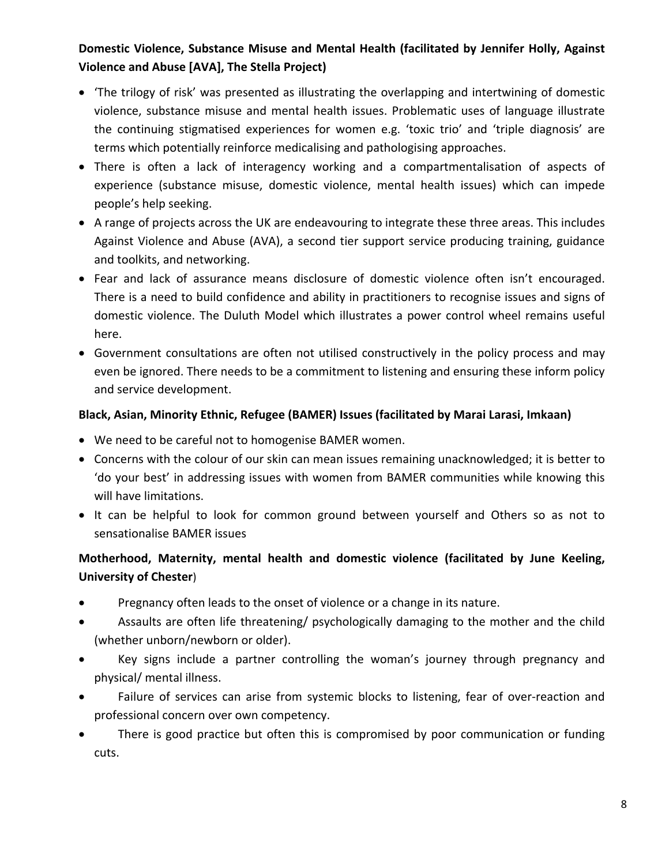# **Domestic Violence, Substance Misuse and Mental Health (facilitated by Jennifer Holly, Against Violence and Abuse [AVA], The Stella Project)**

- 'The trilogy of risk' was presented as illustrating the overlapping and intertwining of domestic violence, substance misuse and mental health issues. Problematic uses of language illustrate the continuing stigmatised experiences for women e.g. 'toxic trio' and 'triple diagnosis' are terms which potentially reinforce medicalising and pathologising approaches.
- There is often a lack of interagency working and a compartmentalisation of aspects of experience (substance misuse, domestic violence, mental health issues) which can impede people's help seeking.
- A range of projects across the UK are endeavouring to integrate these three areas. This includes Against Violence and Abuse (AVA), a second tier support service producing training, guidance and toolkits, and networking.
- Fear and lack of assurance means disclosure of domestic violence often isn't encouraged. There is a need to build confidence and ability in practitioners to recognise issues and signs of domestic violence. The Duluth Model which illustrates a power control wheel remains useful here.
- Government consultations are often not utilised constructively in the policy process and may even be ignored. There needs to be a commitment to listening and ensuring these inform policy and service development.

## **Black, Asian, Minority Ethnic, Refugee (BAMER) Issues (facilitated by Marai Larasi, Imkaan)**

- We need to be careful not to homogenise BAMER women.
- Concerns with the colour of our skin can mean issues remaining unacknowledged; it is better to 'do your best' in addressing issues with women from BAMER communities while knowing this will have limitations.
- It can be helpful to look for common ground between yourself and Others so as not to sensationalise BAMER issues

# **Motherhood, Maternity, mental health and domestic violence (facilitated by June Keeling, University of Chester**)

- Pregnancy often leads to the onset of violence or a change in its nature.
- Assaults are often life threatening/ psychologically damaging to the mother and the child (whether unborn/newborn or older).
- Key signs include a partner controlling the woman's journey through pregnancy and physical/ mental illness.
- Failure of services can arise from systemic blocks to listening, fear of over‐reaction and professional concern over own competency.
- There is good practice but often this is compromised by poor communication or funding cuts.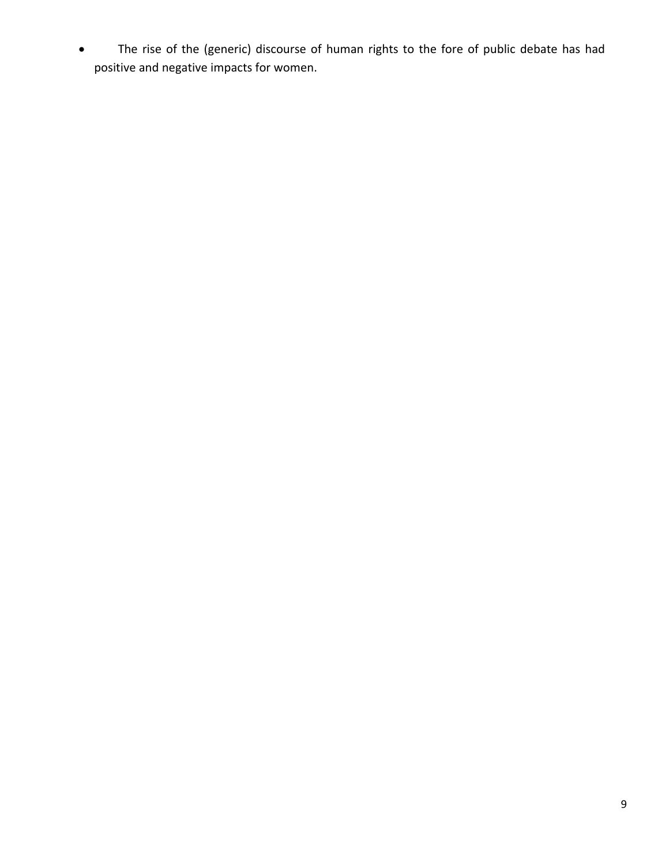The rise of the (generic) discourse of human rights to the fore of public debate has had positive and negative impacts for women.